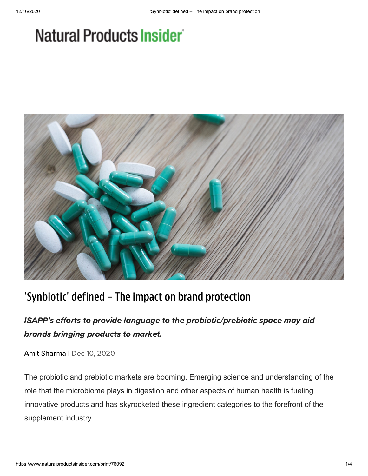## Natural Products Insider



## 'Synbiotic' defined – The impact on brand protection

## ISAPP's efforts to provide language to the probiotic/prebiotic space may aid brands bringing products to market.

Amit [Sharma](https://www.naturalproductsinsider.com/author/Amit-Sharma) | Dec 10, 2020

The probiotic and prebiotic markets are booming. Emerging science and understanding of the role that the microbiome plays in digestion and other aspects of human health is fueling innovative products and has skyrocketed these ingredient categories to the forefront of the supplement industry.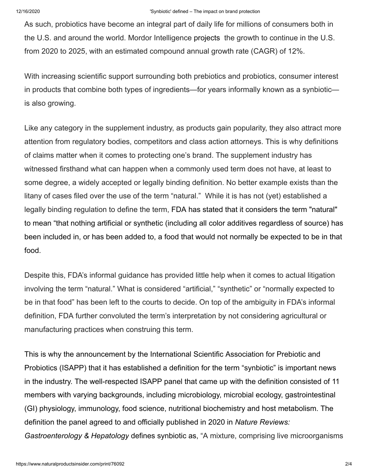As such, probiotics have become an integral part of daily life for millions of consumers both in the U.S. and around the world. Mordor Intelligence [projects](https://www.mordorintelligence.com/industry-reports/united-states-probiotics-market-industry) the growth to continue in the U.S. from 2020 to 2025, with an estimated compound annual growth rate (CAGR) of 12%.

With increasing scientific support surrounding both prebiotics and probiotics, consumer interest in products that combine both types of ingredients—for years informally known as a synbiotic is also growing.

Like any category in the supplement industry, as products gain popularity, they also attract more attention from regulatory bodies, competitors and class action attorneys. This is why definitions of claims matter when it comes to protecting one's brand. The supplement industry has witnessed firsthand what can happen when a commonly used term does not have, at least to some degree, a widely accepted or legally binding definition. No better example exists than the litany of cases filed over the use of the term "natural." While it is has not (yet) established a legally binding regulation to define the term, FDA has stated that it considers the term "natural" to mean "that nothing artificial or synthetic (including all color additives regardless of source) has been included in, or has been added to, a food that would not normally be expected to be in that food.

Despite this, FDA's informal guidance has provided little help when it comes to actual litigation involving the term "natural." What is considered "artificial," "synthetic" or "normally expected to be in that food" has been left to the courts to decide. On top of the ambiguity in FDA's informal definition, FDA further convoluted the term's interpretation by not considering agricultural or manufacturing practices when construing this term.

This is why the announcement by the International Scientific Association for Prebiotic and Probiotics (ISAPP) that it has established a definition for the term "synbiotic" is important news in the industry. The well-respected ISAPP panel that came up with the definition consisted of 11 members with varying backgrounds, including microbiology, microbial ecology, gastrointestinal (GI) physiology, immunology, food science, nutritional biochemistry and host metabolism. The definition the panel agreed to and officially published in 2020 in *Nature Reviews: Gastroenterology & Hepatology* defines synbiotic as, "A mixture, comprising live microorganisms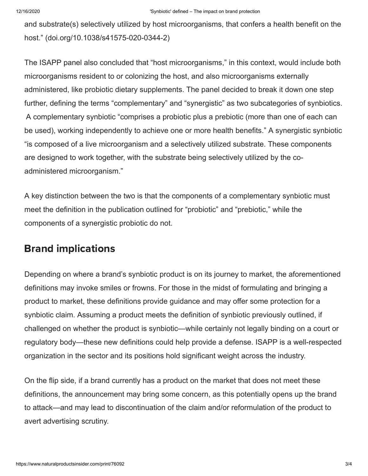and substrate(s) selectively utilized by host microorganisms, that confers a health benefit on the host." (doi.org/10.1038/s41575-020-0344-2)

The ISAPP panel also concluded that "host microorganisms," in this context, would include both microorganisms resident to or colonizing the host, and also microorganisms externally administered, like probiotic dietary supplements. The panel decided to break it down one step further, defining the terms "complementary" and "synergistic" as two subcategories of synbiotics. A complementary synbiotic "comprises a probiotic plus a prebiotic (more than one of each can be used), working independently to achieve one or more health benefits." A synergistic synbiotic "is composed of a live microorganism and a selectively utilized substrate. These components are designed to work together, with the substrate being selectively utilized by the coadministered microorganism."

A key distinction between the two is that the components of a complementary synbiotic must meet the definition in the publication outlined for "probiotic" and "prebiotic," while the components of a synergistic probiotic do not.

## Brand implications

Depending on where a brand's synbiotic product is on its journey to market, the aforementioned definitions may invoke smiles or frowns. For those in the midst of formulating and bringing a product to market, these definitions provide guidance and may offer some protection for a synbiotic claim. Assuming a product meets the definition of synbiotic previously outlined, if challenged on whether the product is synbiotic—while certainly not legally binding on a court or regulatory body—these new definitions could help provide a defense. ISAPP is a well-respected organization in the sector and its positions hold significant weight across the industry.

On the flip side, if a brand currently has a product on the market that does not meet these definitions, the announcement may bring some concern, as this potentially opens up the brand to attack—and may lead to discontinuation of the claim and/or reformulation of the product to avert advertising scrutiny.